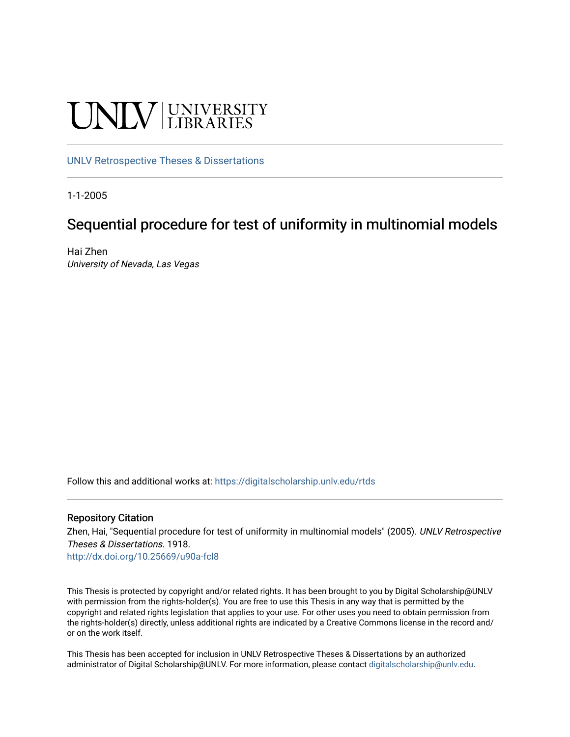# UNIV UNIVERSITY

#### [UNLV Retrospective Theses & Dissertations](https://digitalscholarship.unlv.edu/rtds)

1-1-2005

### Sequential procedure for test of uniformity in multinomial models

Hai Zhen University of Nevada, Las Vegas

Follow this and additional works at: [https://digitalscholarship.unlv.edu/rtds](https://digitalscholarship.unlv.edu/rtds?utm_source=digitalscholarship.unlv.edu%2Frtds%2F1918&utm_medium=PDF&utm_campaign=PDFCoverPages)

#### Repository Citation

Zhen, Hai, "Sequential procedure for test of uniformity in multinomial models" (2005). UNLV Retrospective Theses & Dissertations. 1918.

<http://dx.doi.org/10.25669/u90a-fcl8>

This Thesis is protected by copyright and/or related rights. It has been brought to you by Digital Scholarship@UNLV with permission from the rights-holder(s). You are free to use this Thesis in any way that is permitted by the copyright and related rights legislation that applies to your use. For other uses you need to obtain permission from the rights-holder(s) directly, unless additional rights are indicated by a Creative Commons license in the record and/ or on the work itself.

This Thesis has been accepted for inclusion in UNLV Retrospective Theses & Dissertations by an authorized administrator of Digital Scholarship@UNLV. For more information, please contact [digitalscholarship@unlv.edu.](mailto:digitalscholarship@unlv.edu)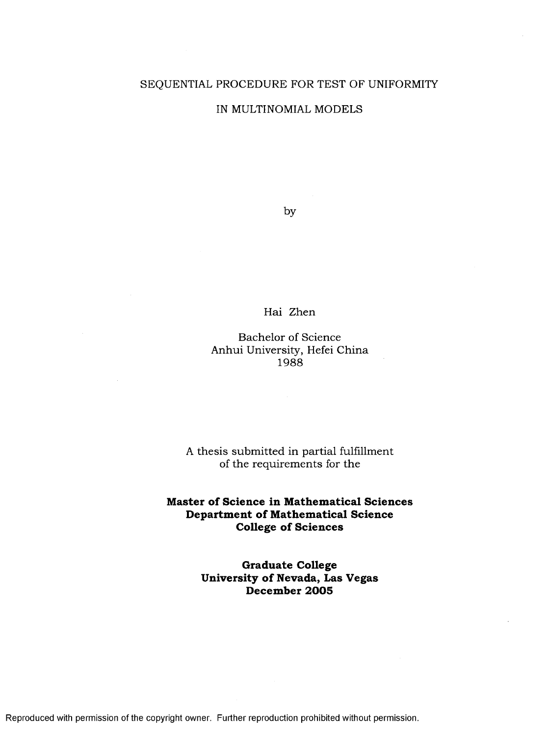#### SEQUENTIAL PROCEDURE FOR TEST OF UNIFORMITY

#### IN MULTINOMIAL MODELS

by

#### Hai Zhen

#### Bachelor of Science Anhui University, Hefei China 1988

#### A thesis submitted in partial fulfillment of the requirements for the

#### **Master of Science in Mathematical Sciences Department of Mathematical Science College of Sciences**

**Graduate College University of Nevada, Las Vegas D ecem ber 2 0 0 5**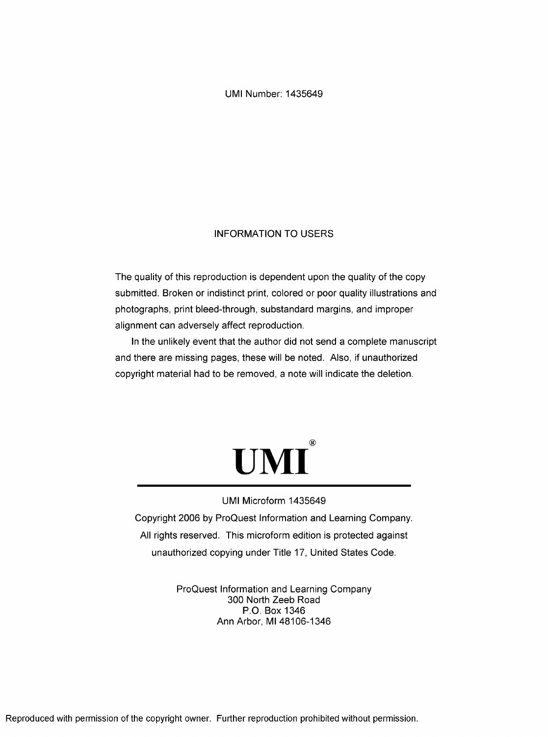UMI Number: 1435649

#### INFORMATION TO USERS

The quality of this reproduction is dependent upon the quality of the copy submitted. Broken or indistinct print, colored or poor quality illustrations and photographs, print bleed-through, substandard margins, and improper alignment can adversely affect reproduction.

In the unlikely event that the author did not send a complete manuscript and there are missing pages, these will be noted. Also, if unauthorized copyright material had to be removed, a note will indicate the deletion.



#### UMI Microform 1435649

Copyright 2006 by ProQuest Information and Learning Company. All rights reserved. This microform edition is protected against unauthorized copying under Title 17, United States Code.

> ProQuest Information and Learning Company 300 North Zeeb Road P.O. Box 1346 Ann Arbor, Ml 48106-1346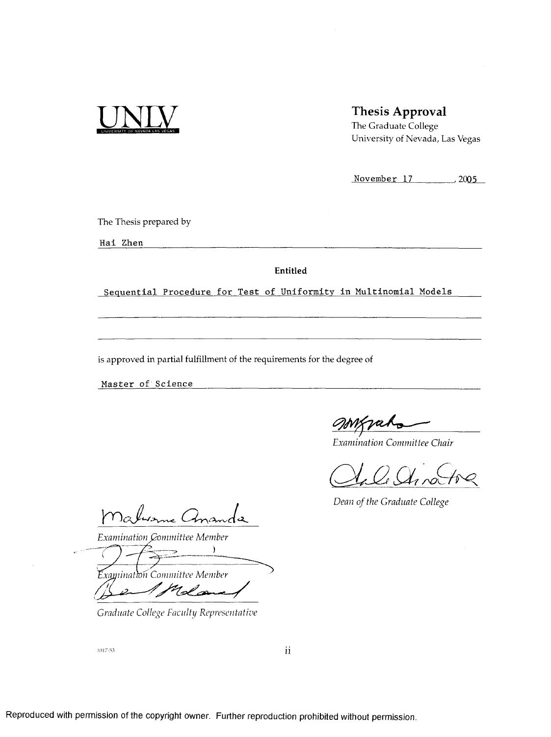

#### **Thesis Approval**

**The Graduate College University of Nevada, Las Vegas**

**November 17 .,2005\_**

**The Thesis prepared by**

**H ai Zhen**

**Entitled**

Sequential Procedure for Test of Uniformity in Multinomial Models

**is approved in partial fulfillment of the requirements for the degree of**

**Master of Science** 

jaho

*Examination Committee Chair*

*Dean of the Graduate College* 

wonne Cha  $\iota$ 

*Examination Qomm ittee Member*

*xaminatton Committee Member* <sup>7</sup>lol co

*Graduate College Faculty Representative*

1017-53

*11*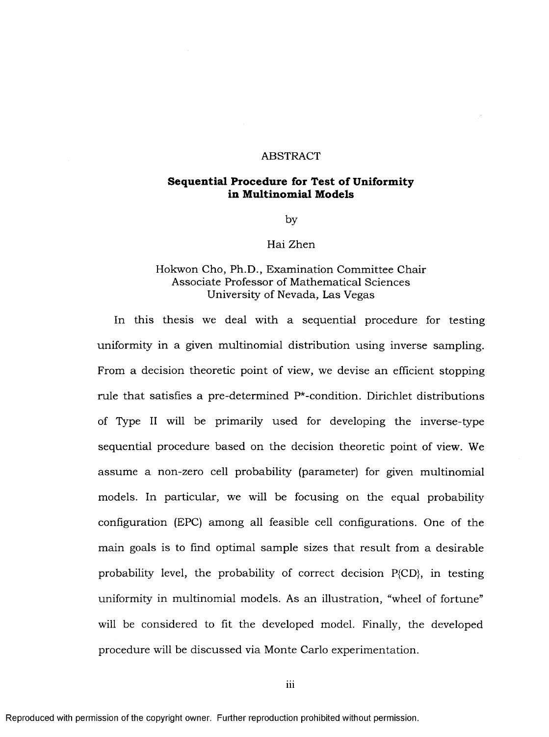#### ABSTRACT

#### **Sequential Procedure for Test of Uniformity in M ultinom ial M odels**

by

#### Hai Zhen

#### Hokwon Cho, Ph.D., Examination Committee Chair Associate Professor of Mathematical Sciences University of Nevada, Las Vegas

In this thesis we deal with a sequential procedure for testing uniformity in a given multinomial distribution using inverse sampling. From a decision theoretic point of view, we devise an efficient stopping rule that satisfies a pre-determined  $P^*$ -condition. Dirichlet distributions of Type II will be primarily used for developing the inverse-type sequential procedure based on the decision theoretic point of view. We assume a non-zero cell probability (parameter) for given multinomial models. In particular, we will be focusing on the equal probability configuration (EPC) am ong all feasible cell configurations. One of the main goals is to find optimal sample sizes that result from a desirable probability level, the probability of correct decision P{CD}, in testing uniformity in multinomial models. As an illustration, "wheel of fortune" will be considered to fit the developed model. Finally, the developed procedure will be discussed via Monte Carlo experimentation.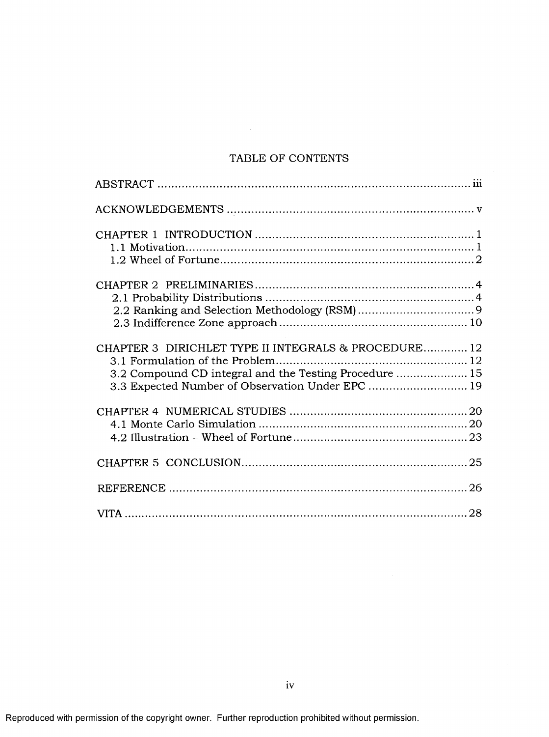#### TABLE OF CONTENTS

| CHAPTER 3 DIRICHLET TYPE II INTEGRALS & PROCEDURE 12<br>3.2 Compound CD integral and the Testing Procedure  15<br>3.3 Expected Number of Observation Under EPC  19 |  |
|--------------------------------------------------------------------------------------------------------------------------------------------------------------------|--|
|                                                                                                                                                                    |  |
|                                                                                                                                                                    |  |
|                                                                                                                                                                    |  |
|                                                                                                                                                                    |  |
|                                                                                                                                                                    |  |
|                                                                                                                                                                    |  |
|                                                                                                                                                                    |  |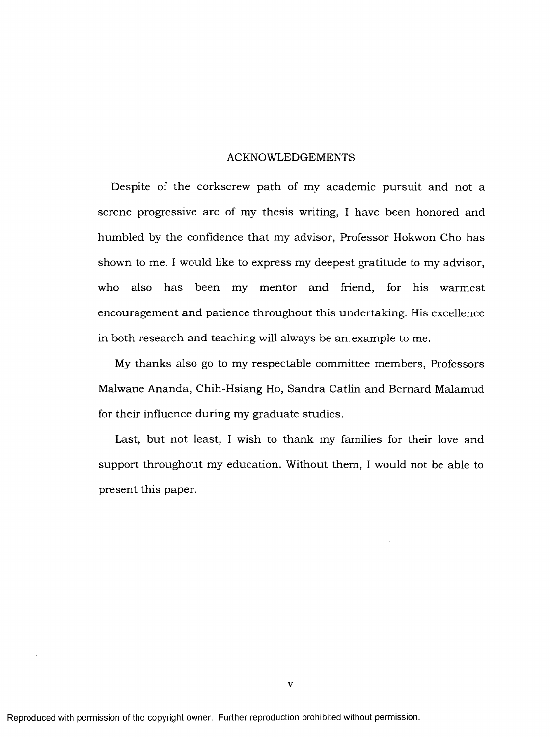#### ACKNOWLEDGEMENTS

Despite of the corkscrew path of my academic pursuit and not a serene progressive arc of my thesis writing, I have been honored and humbled by the confidence that my advisor, Professor Hokwon Cho has shown to me. I would like to express my deepest gratitude to my advisor, who also has been my mentor and friend, for his warmest encouragement and patience throughout this undertaking. His excellence in both research and teaching will always be an example to me.

My thanks also go to my respectable committee members, Professors Malwane Ananda, Chih-Hsiang Ho, Sandra Catlin and Bernard Malamud for their influence during my graduate studies.

Last, but not least, I wish to thank my families for their love and support throughout my education. Without them, I would not be able to present this paper.

 $\overline{\mathbf{V}}$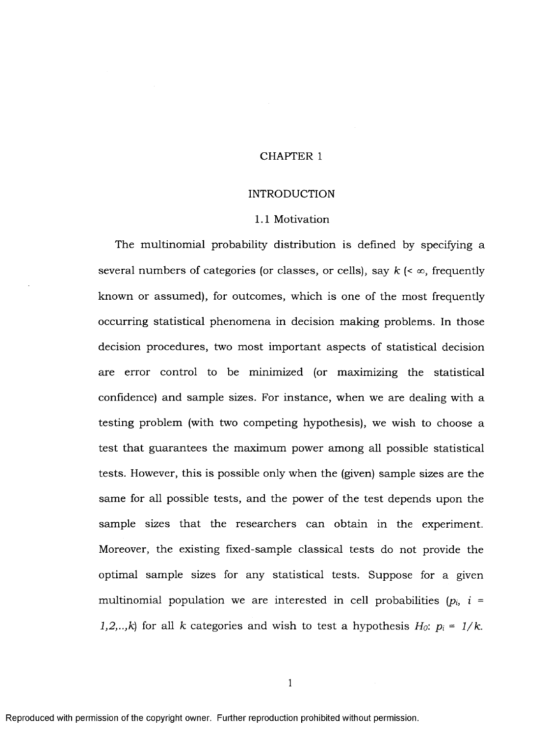#### CHAPTER 1

#### INTRODUCTION

#### 1.1 Motivation

The multinomial probability distribution is defined by specifying a several numbers of categories (or classes, or cells), say  $k \leq \infty$ , frequently known or assumed), for outcomes, which is one of the most frequently occurring statistical phenomena in decision making problems. In those decision procedures, two most important aspects of statistical decision are error control to be minimized (or maximizing the statistical confidence) and sample sizes. For instance, when we are dealing with a testing problem (with two competing hypothesis), we wish to choose a test that guarantees the maximum power among all possible statistical tests. However, this is possible only when the (given) sample sizes are the same for all possible tests, and the power of the test depends upon the sample sizes that the researchers can obtain in the experiment. Moreover, the existing fixed-sample classical tests do not provide the optimal sample sizes for any statistical tests. Suppose for a given multinomial population we are interested in cell probabilities  $(p_i, i =$ *l,2,..,k*) for all *k* categories and wish to test a hypothesis  $H_0$ :  $p_i = 1/k$ .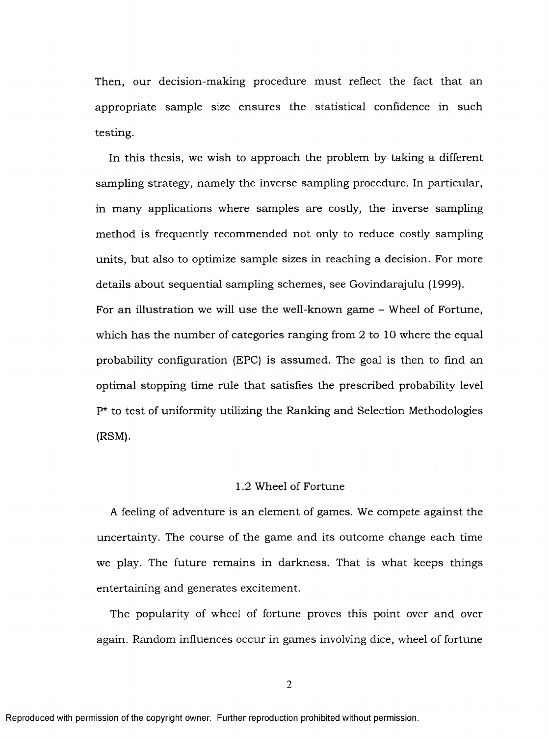Then, our decision-making procedure must reflect the fact that an appropriate sample size ensures the statistical confidence in such testing.

In this thesis, we wish to approach the problem by taking a different sampling strategy, namely the inverse sampling procedure. In particular, in many applications where samples are costly, the inverse sampling method is frequently recommended not only to reduce costly sampling units, but also to optimize sample sizes in reaching a decision. For more details about sequential sampling schemes, see Govindarajulu (1999). For an illustration we will use the well-known game – Wheel of Fortune, which has the number of categories ranging from 2 to 10 where the equal probability configuration (EPC) is assum ed. The goal is then to find an optimal stopping time rule that satisfies the prescribed probability level  $P^*$  to test of uniformity utilizing the Ranking and Selection Methodologies (RSM).

#### 1.2 Wheel of Fortune

A feeling of adventure is an element of games. We compete against the uncertainty. The course of the game and its outcome change each time we play. The future remains in darkness. That is what keeps things entertaining and generates excitement.

The popularity of wheel of fortune proves this point over and over again. Random influences occur in games involving dice, wheel of fortune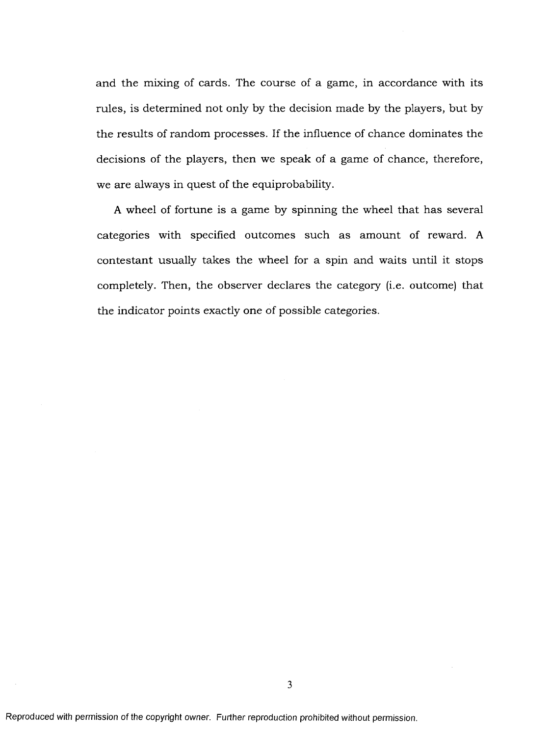and the mixing of cards. The course of a game, in accordance with its rules, is determined not only by the decision made by the players, but by the results of random processes. If the influence of chance dominates the decisions of the players, then we speak of a game of chance, therefore, we are always in quest of the equiprobability.

A wheel of fortune is a game by spinning the wheel that has several categories with specified outcomes such as amount of reward. A contestant usually takes the wheel for a spin and waits until it stops completely. Then, the observer declares the category (i.e. outcome) that the indicator points exactly one of possible categories.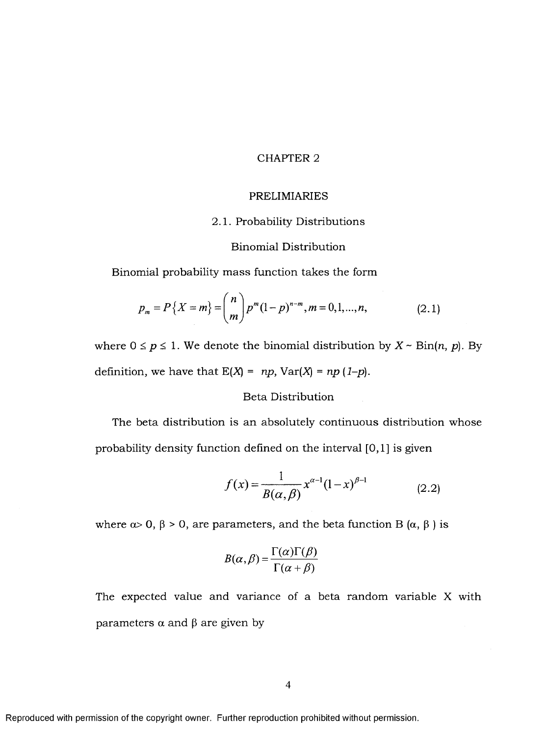#### CHAPTER 2

#### PRELIMIARIES

#### 2.1. Probability Distributions

#### **Binomial Distribution**

Binomial probability mass function takes the form

$$
p_m = P\{X = m\} = {n \choose m} p^m (1-p)^{n-m}, m = 0, 1, ..., n,
$$
 (2.1)

where  $0 \le p \le 1$ . We denote the binomial distribution by  $X \sim Bin(n, p)$ . By definition, we have that  $E(X) = np$ ,  $Var(X) = np (1-p)$ .

#### Beta Distribution

The beta distribution is an absolutely continuous distribution whose probability density function defined on the interval [0,1] is given

$$
f(x) = \frac{1}{B(\alpha, \beta)} x^{\alpha - 1} (1 - x)^{\beta - 1}
$$
 (2.2)

where  $\alpha$  > 0,  $\beta$  > 0, are parameters, and the beta function B ( $\alpha$ ,  $\beta$ ) is

$$
B(\alpha, \beta) = \frac{\Gamma(\alpha)\Gamma(\beta)}{\Gamma(\alpha + \beta)}
$$

The expected value and variance of a beta random variable X with parameters  $\alpha$  and  $\beta$  are given by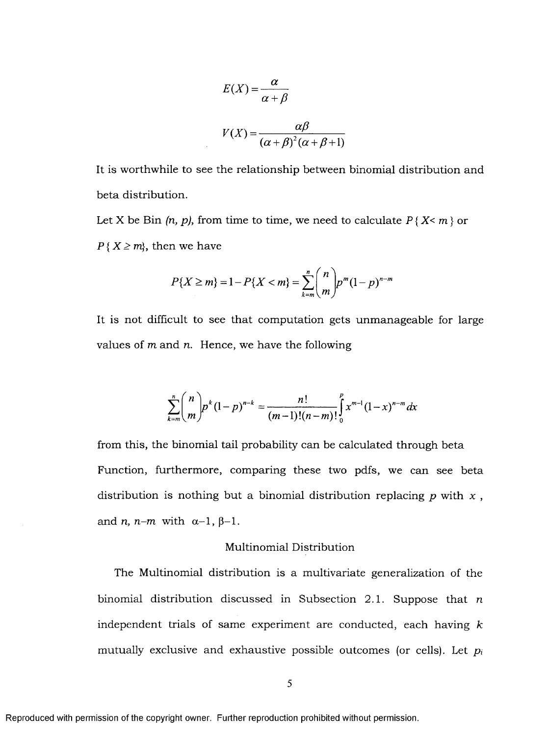$$
E(X) = \frac{\alpha}{\alpha + \beta}
$$

$$
V(X) = \frac{\alpha \beta}{(\alpha + \beta)^2 (\alpha + \beta + 1)}
$$

It is worthwhile to see the relationship between binomial distribution and beta distribution.

Let X be Bin  $(n, p)$ , from time to time, we need to calculate  $P\{X \leq m\}$  or  $P\{X \geq m\}$ , then we have

$$
P\{X \ge m\} = 1 - P\{X < m\} = \sum_{k=m}^{n} \binom{n}{m} p^m (1-p)^{n-m}
$$

It is not difficult to see that computation gets unmanageable for large values of  $m$  and  $n$ . Hence, we have the following

$$
\sum_{k=m}^{n} {n \choose m} p^{k} (1-p)^{n-k} = \frac{n!}{(m-1)!(n-m)!} \int_{0}^{p} x^{m-1} (1-x)^{n-m} dx
$$

from this, the binomial tail probability can be calculated through beta Function, furthermore, comparing these two pdfs, we can see beta distribution is nothing but a binomial distribution replacing  $p$  with  $x$ , and *n*, *n*-*m* with  $\alpha$ -1,  $\beta$ -1.

#### **Multinomial Distribution**

The Multinomial distribution is a multivariate generalization of the binomial distribution discussed in Subsection 2.1. Suppose that *n* independent trials of same experiment are conducted, each having  $k$ mutually exclusive and exhaustive possible outcomes (or cells). Let  $p_i$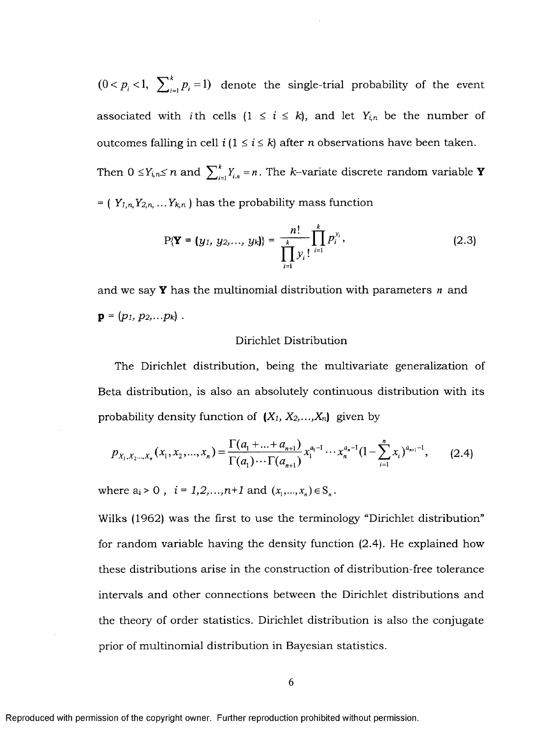$(0 < p_i < 1, \sum_{i=1}^{k} p_i = 1)$  denote the single-trial probability of the event associated with *i*th cells  $(1 \le i \le k)$ , and let  $Y_{i,n}$  be the number of outcomes falling in cell  $i$  ( $1 \le i \le k$ ) after *n* observations have been taken. Then  $0 \leq Y_{i,n} \leq n$  and  $\sum_{i=1}^{k} Y_{i,n} = n$ . The k-variate discrete random variable **Y**  $=$  ( $Y_{1,n}$ ,  $Y_{2,n}$ , ...  $Y_{k,n}$ ) has the probability mass function

$$
P\{\mathbf{Y} = (y_1, y_2, ..., y_k)\} = \frac{n!}{\prod_{i=1}^k y_i!} \prod_{i=1}^k p_i^{y_i},
$$
\n(2.3)

and we say **Y** has the multinomial distribution with parameters *n* and  $\mathbf{p} = (p_1, p_2, \ldots p_k)$ .

#### Dirichlet Distribution

The Dirichlet distribution, being the multivariate generalization of Beta distribution, is also an absolutely continuous distribution with its probability density function of *{Xi, X2,...,Xn)* given by

$$
p_{X_1, X_2, \dots, X_n}(x_1, x_2, \dots, x_n) = \frac{\Gamma(a_1 + \dots + a_{n+1})}{\Gamma(a_1) \cdots \Gamma(a_{n+1})} x_1^{a_1 - 1} \cdots x_n^{a_n - 1} (1 - \sum_{i=1}^n x_i)^{a_{n+1} - 1},
$$
 (2.4)

where  $\mathbf{a_i} > 0$  ,  $\ i = 1,2,\ldots,n+1$  and  $(x_1,...,x_n) \in \mathbf{S}_n$  .

Wilks (1962) was the first to use the terminology "Dirichlet distribution" for random variable having the density function (2.4). He explained how these distributions arise in the construction of distribution-free tolerance intervals and other connections between the Dirichlet distributions and the theory of order statistics. Dirichlet distribution is also the conjugate prior of multinomial distribution in Bayesian statistics.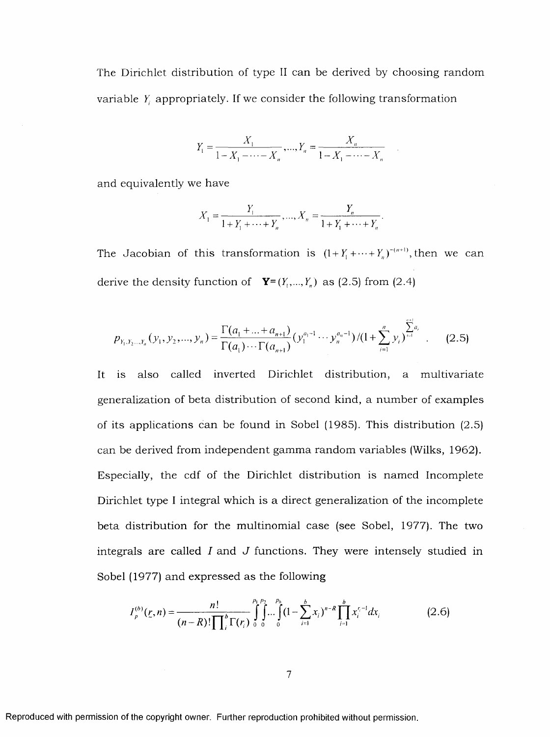The Dirichlet distribution of type II can be derived by choosing random variable *Y* appropriately. If we consider the following transformation

$$
Y_1 = \frac{X_1}{1 - X_1 - \dots - X_n}, \dots, Y_n = \frac{X_n}{1 - X_1 - \dots - X_n}
$$

and equivalently we have

$$
X_1 = \frac{Y_1}{1 + Y_1 + \dots + Y_n}, \dots, X_n = \frac{Y_n}{1 + Y_1 + \dots + Y_n}.
$$

The Jacobian of this transformation is  $(1+Y_1+\cdots+Y_n)^{-(n+1)}$ , then we can derive the density function of  $\mathbf{Y}=(Y_1,...,Y_n)$  as (2.5) from (2.4)

$$
p_{Y_1, Y_2, \dots, Y_n}(y_1, y_2, \dots, y_n) = \frac{\Gamma(a_1 + \dots + a_{n+1})}{\Gamma(a_1) \cdots \Gamma(a_{n+1})} (y_1^{a_1 - 1} \cdots y_n^{a_n - 1}) / (1 + \sum_{i=1}^n y_i)^{\sum_{i=1}^n a_i} .
$$
 (2.5)

It is also called inverted Dirichlet distribution, a multivariate generalization of beta distribution of second kind, a number of examples of its applications can be found in Sobel (1985). This distribution (2.5) can be derived from independent gamma random variables (Wilks, 1962). Especially, the cdf of the Dirichlet distribution is named Incomplete Dirichlet type I integral which is a direct generalization of the incomplete beta distribution for the m ultinom ial case (see Sobel, 1977). The two integrals are called *I* and J functions. They were intensely studied in Sobel (1977) and expressed as the following

$$
I_{p}^{(b)}(r, n) = \frac{n!}{(n-R)! \prod_{i=1}^{b} \Gamma(r_{i})} \int_{0}^{p_{1}} \int_{0}^{p_{2}} ... \int_{0}^{p_{b}} (1 - \sum_{i=1}^{b} x_{i})^{n-R} \prod_{i=1}^{b} x_{i}^{r_{i}-1} dx_{i}
$$
(2.6)

 $\overline{7}$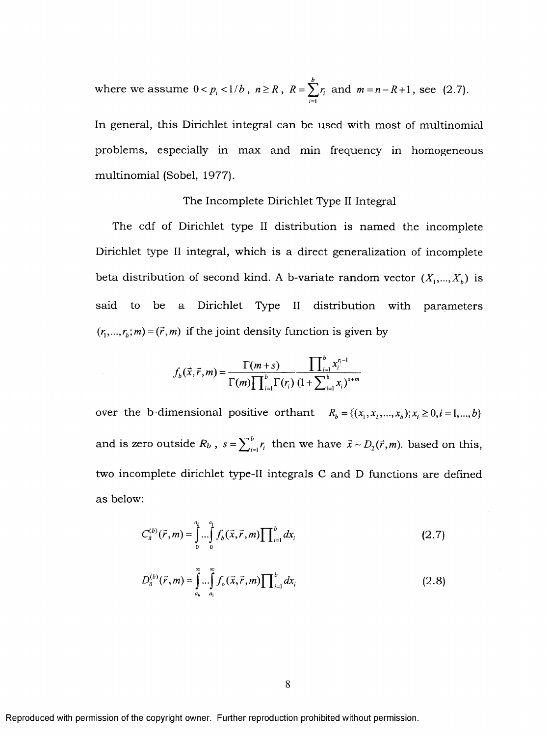where we assume  $0 < p_i < 1/b$ ,  $n \ge R$ ,  $R = \sum r_i$  and  $m = n - R + 1$ , see (2.7).  $\overline{1}$ 

In general, this Dirichlet integral can be used with most of multinomial problems, especially in max and min frequency in homogeneous multinomial (Sobel, 1977).

#### The Incomplete Dirichlet Type II Integral

The cdf of Dirichlet type II distribution is named the incomplete Dirichlet type II integral, which is a direct generalization of incomplete beta distribution of second kind. A b-variate random vector  $(X_1,...,X_k)$  is said to be a Dirichlet Type II distribution with parameters  $(r_1, ..., r_b; m) = (\vec{r}, m)$  if the joint density function is given by

$$
f_b(\vec{x}, \vec{r}, m) = \frac{\Gamma(m+s)}{\Gamma(m) \prod_{i=1}^{b} \Gamma(r_i)} \frac{\prod_{i=1}^{b} x_i^{r_i - 1}}{(1 + \sum_{i=1}^{b} x_i)^{s+m}}
$$

over the b-dimensional positive orthant  $R_b = \{(x_1, x_2,...,x_b); x_i \ge 0, i = 1,...,b\}$ and is zero outside  $R_b$ ,  $s = \sum_{i=1}^{b} r_i$  then we have  $\bar{x} \sim D_{2}(\bar{r},m)$ . based on this, two incomplete dirichlet type-II integrals C and D functions are defined as below:

$$
C_{\bar{a}}^{(b)}(\vec{r},m) = \int_{0}^{a_b} \dots \int_{0}^{a_1} f_b(\vec{x}, \vec{r}, m) \prod_{i=1}^{b} dx_i
$$
 (2.7)

$$
D_{\bar{a}}^{(b)}(\vec{r},m) = \int_{a_b}^{\infty} \dots \int_{a_1}^{\infty} f_b(\vec{x}, \vec{r}, m) \prod_{i=1}^{b} dx_i
$$
 (2.8)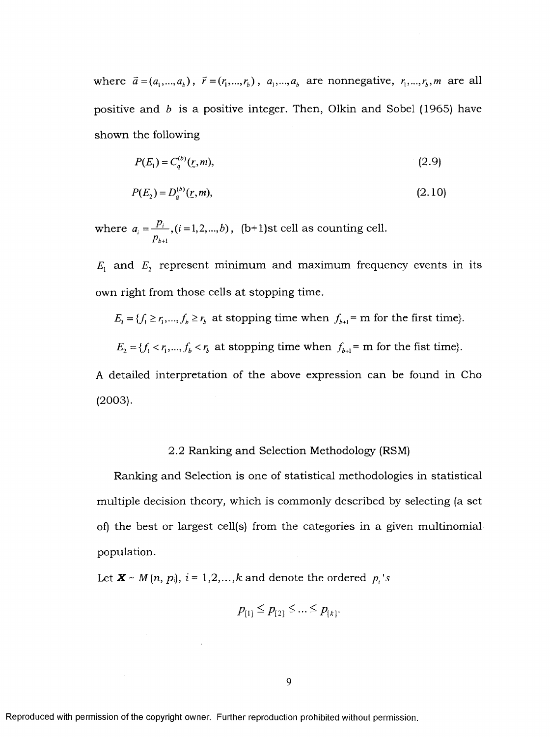where  $\vec{a} = (a_1, ..., a_b)$ ,  $\vec{r} = (r_1, ..., r_b)$ ,  $a_1, ..., a_b$  are nonnegative,  $r_1, ..., r_b$ , *m* are all positive and  $b$  is a positive integer. Then, Olkin and Sobel (1965) have shown the following

$$
P(E_1) = C_a^{(b)}(z, m),\tag{2.9}
$$

$$
P(E_2) = D_a^{(b)}(r, m),\tag{2.10}
$$

where  $a_i = \frac{P_i}{p_i}$ ,  $(i = 1,2,...,b)$ , (b+1)st cell as counting cell.  $P_{b+1}$ 

 $E_1$  and  $E_2$  represent minimum and maximum frequency events in its own right from those cells at stopping time.

$$
E_1 = \{f_1 \ge r_1, ..., f_b \ge r_b \text{ at stopping time when } f_{b+1} = \text{m for the first time}\}.
$$

 $E_2 = \{f_1 < r_1, \ldots, f_b < r_b \text{ at stopping time when } f_{b+1} = \text{m for the first time}\}.$ 

A detailed interpretation of the above expression can be found in Cho (2003).

#### 2.2 Ranking and Selection Methodology (RSM)

Ranking and Selection is one of statistical methodologies in statistical multiple decision theory, which is commonly described by selecting (a set of) the best or largest cell(s) from the categories in a given multinomial population.

Let  $\mathbf{X} \sim M(n, p_i)$ ,  $i = 1, 2, ..., k$  and denote the ordered  $p_i$ 's

$$
p_{[1]} \leq p_{[2]} \leq ... \leq p_{[k]}.
$$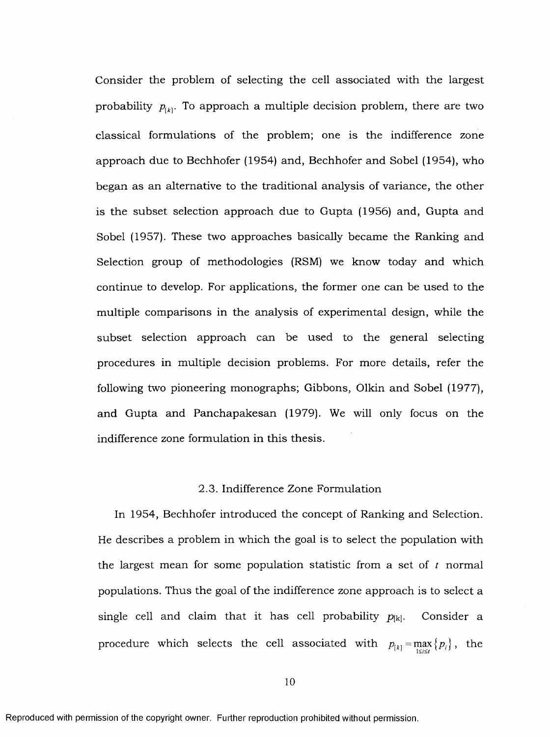Consider the problem of selecting the cell associated with the largest probability  $p_{\mu}$ . To approach a multiple decision problem, there are two classical formulations of the problem; one is the indifference zone approach due to Bechhofer (1954) and, Bechhofer and Sobel (1954), who began as an alternative to the traditional analysis of variance, the other is the subset selection approach due to Gupta (1956) and, Gupta and Sobel (1957). These two approaches basically became the Ranking and Selection group of methodologies (RSM) we know today and which continue to develop. For applications, the former one can be used to the multiple comparisons in the analysis of experimental design, while the subset selection approach can be used to the general selecting procedures in multiple decision problems. For more details, refer the following two pioneering monographs; Gibbons, Olkin and Sobel (1977), and Gupta and Panchapakesan (1979). We will only focus on the indifference zone formulation in this thesis.

#### 2.3. Indifference Zone Formulation

In 1954, Bechhofer introduced the concept of Ranking and Selection. He describes a problem in which the goal is to select the population with the largest mean for some population statistic from a set of  $t$  normal populations. Thus the goal of the indifference zone approach is to select a single cell and claim that it has cell probability  $p_{[k]}$ . Consider a procedure which selects the cell associated with  $p_{[k]} = \max_{1 \le i \le l} \{p_i\}$ , the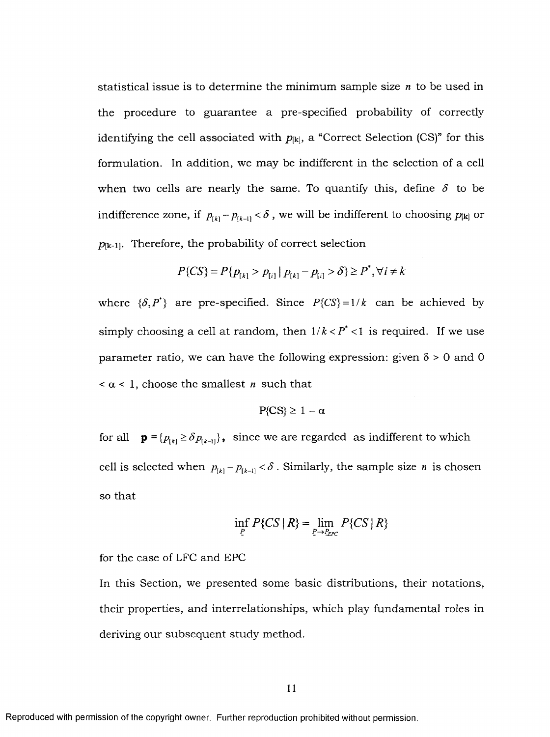statistical issue is to determine the minimum sample size *n* to be used in the procedure to guarantee a pre-specified probability of correctly identifying the cell associated with  $p_{[k]}$ , a "Correct Selection (CS)" for this formulation. In addition, we may be indifferent in the selection of a cell when two cells are nearly the same. To quantify this, define  $\delta$  to be indifference zone, if  $p_{k} - p_{k-1} < \delta$ , we will be indifferent to choosing  $p_{k}$  or  $p_{[k-1]}$ . Therefore, the probability of correct selection

$$
P\{CS\} = P\{p_{[k]} > p_{[i]} \mid p_{[k]} - p_{[i]} > \delta\} \ge P^*, \forall i \neq k
$$

where  $\{\delta, P^*\}$  are pre-specified. Since  $P\{CS\} = 1/k$  can be achieved by simply choosing a cell at random, then  $1/k < P^* < 1$  is required. If we use parameter ratio, we can have the following expression: given  $\delta > 0$  and 0  $< \alpha < 1$ , choose the smallest *n* such that

$$
P\{CS\} \geq 1 - \alpha
$$

for all  $\mathbf{p} = \{p_{[k]} \ge \delta p_{[k-1]}\}\$ , since we are regarded as indifferent to which cell is selected when  $p_{k} - p_{k-1} < \delta$ . Similarly, the sample size *n* is chosen so that

$$
\inf_{P} P\{CS \mid R\} = \lim_{P \to P_{EPC}} P\{CS \mid R\}
$$

for the case of LFC and EPC

In this Section, we presented some basic distributions, their notations, their properties, and interrelationships, which play fundamental roles in deriving our subsequent study method.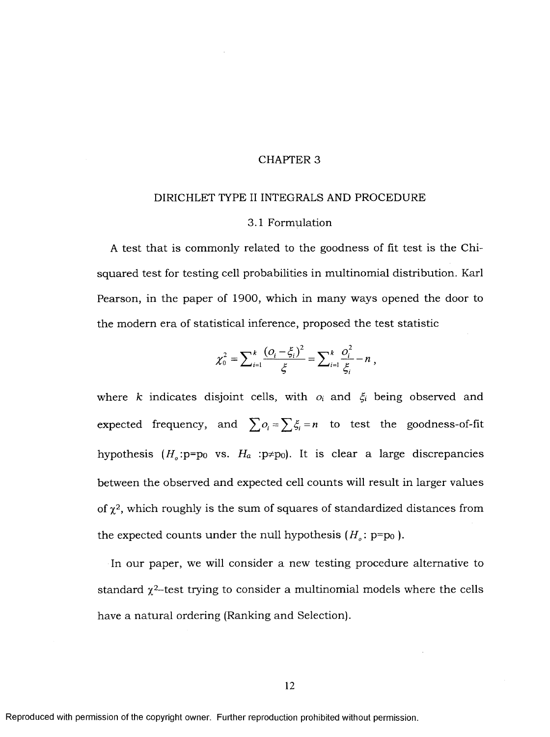#### CHAPTER 3

#### DIRICHLET TYPE II INTEGRALS AND PROCEDURE

#### 3.1 Form ulation

A test that is commonly related to the goodness of fit test is the Chisquared test for testing cell probabilities in multinomial distribution. Karl Pearson, in the paper of 1900, which in many ways opened the door to the modern era of statistical inference, proposed the test statistic

$$
\chi_0^2 = \sum_{i=1}^k \frac{(O_i - \xi_i)^2}{\xi} = \sum_{i=1}^k \frac{O_i^2}{\xi_i} - n,
$$

where *k* indicates disjoint cells, with  $o_i$  and  $\xi_i$  being observed and expected frequency, and  $\sum o_i = \sum \xi_i = n$  to test the goodness-of-fit hypothesis  $(H_o: p=p_0$  vs.  $H_a: p \neq p_0$ . It is clear a large discrepancies between the observed and expected cell counts will result in larger values of  $\chi^2$ , which roughly is the sum of squares of standardized distances from the expected counts under the null hypothesis  $(H_o: \text{p=p}_0)$ .

In our paper, we will consider a new testing procedure alternative to stand ard  $\chi^2$ -test trying to consider a multinomial models where the cells have a natural ordering (Ranking and Selection).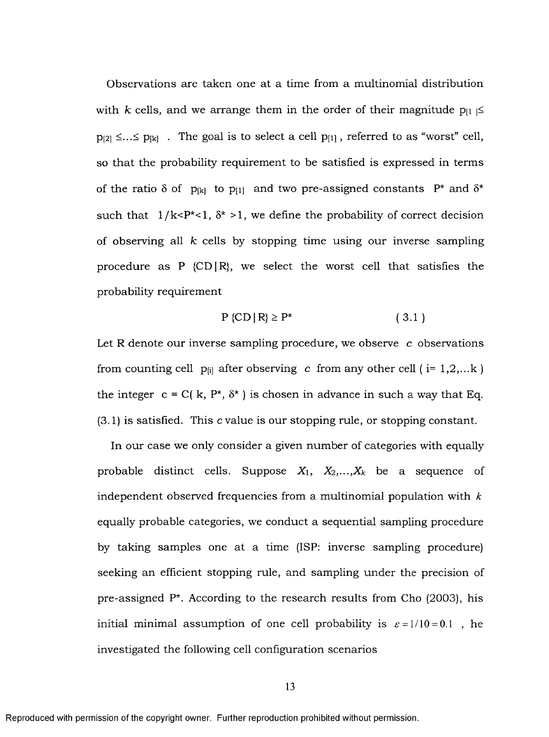Observations are taken one at a time from a multinomial distribution with *k* cells, and we arrange them in the order of their magnitude  $p_{[1]} \le$  $p_{[2]} \leq ... \leq p_{[k]}$ . The goal is to select a cell  $p_{[1]}$ , referred to as "worst" cell, so that the probability requirement to be satisfied is expressed in terms of the ratio  $\delta$  of p<sub>[k]</sub> to p<sub>[1]</sub> and two pre-assigned constants P<sup>\*</sup> and  $\delta^*$ such that  $1/k < P^* < 1$ ,  $\delta^* > 1$ , we define the probability of correct decision of observing all *k* cells by stopping time using our inverse sampling procedure as P  $\{CD \mid R\}$ , we select the worst cell that satisfies the probability requirement

$$
P\left\{CD\,|\,R\right\} \ge P^* \tag{3.1}
$$

Let R denote our inverse sampling procedure, we observe  $c$  observations from counting cell p<sub>ii</sub> after observing *c* from any other cell ( $i = 1, 2, \dots k$ ) the integer  $c = C(k, P^*, \delta^*)$  is chosen in advance in such a way that Eq.  $(3.1)$  is satisfied. This c value is our stopping rule, or stopping constant.

In our case we only consider a given number of categories with equally probable distinct cells. Suppose  $X_1$ ,  $X_2,...,X_k$  be a sequence of in dependent observed frequencies from a multinomial population with  $k$ equally probable categories, we conduct a sequential sampling procedure by taking samples one at a time (ISP: inverse sampling procedure) seeking an efficient stopping rule, and sampling under the precision of pre-assigned  $P^*$ . According to the research results from Cho (2003), his initial minimal assumption of one cell probability is  $\varepsilon = 1/10 = 0.1$ , he investigated the following cell configuration scenarios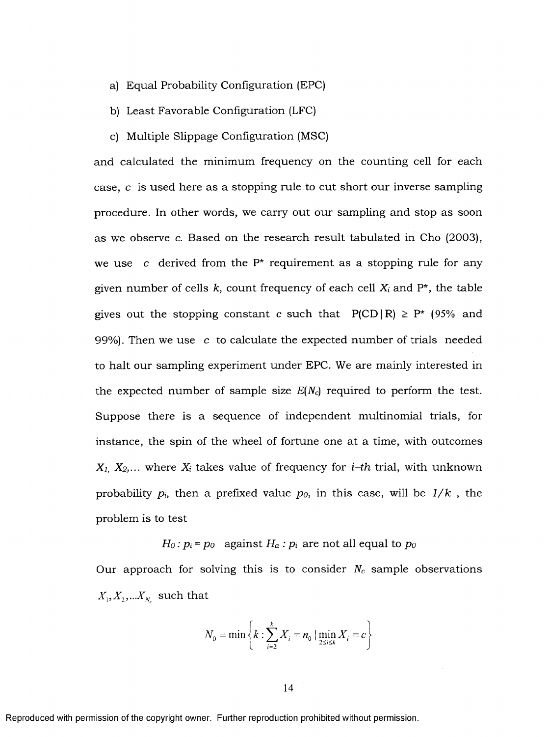- a) Equal Probability Configuration (EPC)
- b) Least Favorable Configuration (LFC)
- c) Multiple Slippage Configuration (MSC)

and calculated the minimum frequency on the counting cell for each case,  $c$  is used here as a stopping rule to cut short our inverse sampling procedure. In other words, we carry out our sampling and stop as soon as we observe c. Based on the research result tabulated in Cho (2003), we use c derived from the  $P^*$  requirement as a stopping rule for any given number of cells  $k$ , count frequency of each cell  $X_i$  and  $P^*$ , the table gives out the stopping constant c such that  $P(CD|R) \ge P^*$  (95% and 99%). Then we use  $\ c$  to calculate the expected number of trials needed to halt our sampling experiment under EPC. We are mainly interested in the expected number of sample size  $E(N_c)$  required to perform the test. Suppose there is a sequence of independent multinomial trials, for instance, the spin of the wheel of fortune one at a time, with outcomes  $X_1, X_2, \ldots$  where  $X_i$  takes value of frequency for *i*-th trial, with unknown probability  $p_i$ , then a prefixed value  $p_0$ , in this case, will be  $1/k$ , the problem is to test

 $H_0: p_i = p_0$  against  $H_a: p_i$  are not all equal to  $p_0$ 

Our approach for solving this is to consider  $N_c$  sample observations  $X_1, X_2, ... X_{N_c}$  such that

$$
N_0 = \min \left\{ k : \sum_{i=2}^{k} X_i = n_0 \mid \min_{2 \le i \le k} X_i = c \right\}
$$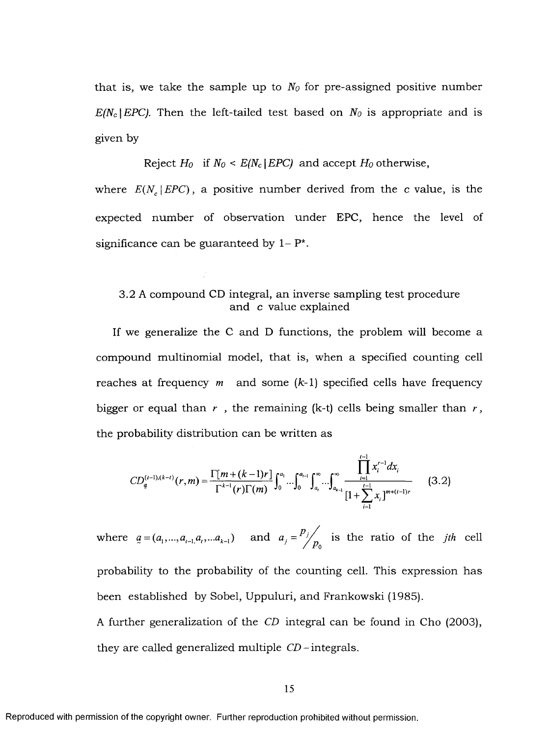that is, we take the sample up to  $N_0$  for pre-assigned positive number  $E/N_c$  *EPC).* Then the left-tailed test based on  $N_0$  is appropriate and is given by

#### Reject  $H_0$  if  $N_0 \leq E(N_c | EPC)$  and accept  $H_0$  otherwise,

where  $E(N_e)EPC$ , a positive number derived from the c value, is the expected number of observation under EPC, hence the level of significance can be guaranteed by  $1-P^*$ .

#### 3.2 A compound CD integral, an inverse sampling test procedure and c value explained

If we generalize the C and D functions, the problem will become a compound multinomial model, that is, when a specified counting cell reaches at frequency  $m$  and some  $(k-1)$  specified cells have frequency bigger or equal than  $r$ , the remaining (k-t) cells being smaller than  $r$ , the probability distribution can be written as

$$
CD_{a}^{(t-1),(k-t)}(r,m) = \frac{\Gamma[m+(k-1)r]}{\Gamma^{k-1}(r)\Gamma(m)} \int_{0}^{a_{1}} \cdots \int_{0}^{a_{t-1}} \int_{a_{t}}^{\infty} \cdots \int_{a_{k-1}}^{\infty} \frac{\prod_{i=1}^{t-1} x_{i}^{r-1} dx_{i}}{\left[1 + \sum_{i=1}^{t-1} x_{i}\right]^{m+(t-1)r}}
$$
(3.2)

where  $\underline{a} = (a_1,...,a_{i-1},a_i,...a_{k-1})$  and  $\underline{a_j} = \frac{p_j}{p_0}$  is the ratio of the *jth* cell probability to the probability of the counting cell. This expression has been established by Sobel, Uppuluri, and Frankowski (1985). A further generalization of the *CD* integral can be found in Cho (2003),

they are called generalized multiple  $CD$  -integrals.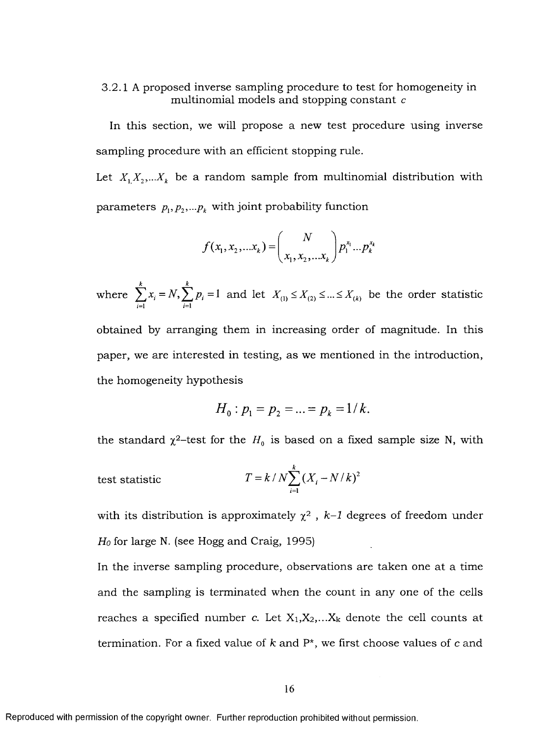3.2.1 A proposed inverse sampling procedure to test for homogeneity in multinomial models and stopping constant c

In this section, we will propose a new test procedure using inverse sampling procedure with an efficient stopping rule.

Let  $X_1, X_2, \ldots, X_k$  be a random sample from multinomial distribution with parameters  $p_1, p_2, \ldots, p_k$  with joint probability function

$$
f(x_1, x_2,...x_k) = {N \choose x_1, x_2,...x_k} p_1^{x_1}...p_k^{x_k}
$$

where  $\sum x_i = N$ ,  $\sum p_i = 1$  and let  $X_{(1)} \le X_{(2)} \le ... \le X_{(k)}$  be the order statistic  $i=1$   $i=1$ 

obtained by arranging them in increasing order of magnitude. In this paper, we are interested in testing, as we mentioned in the introduction, the homogeneity hypothesis

$$
H_0: p_1 = p_2 = \ldots = p_k = 1/k.
$$

the standard  $\chi^2$ -test for the  $H_0$  is based on a fixed sam ple size N, with

test statistic 
$$
T = k / N \sum_{i=1}^{k} (X_i - N/k)^2
$$

with its distribution is approximately  $\chi^2$ ,  $k-1$  degrees of freedom under *Ho* for large N. (see Hogg and Craig, 1995)

In the inverse sampling procedure, observations are taken one at a time and the sampling is terminated when the count in any one of the cells reaches a specified number c. Let  $X_1, X_2, \ldots X_k$  denote the cell counts at termination. For a fixed value of  $k$  and  $P^*$ , we first choose values of  $c$  and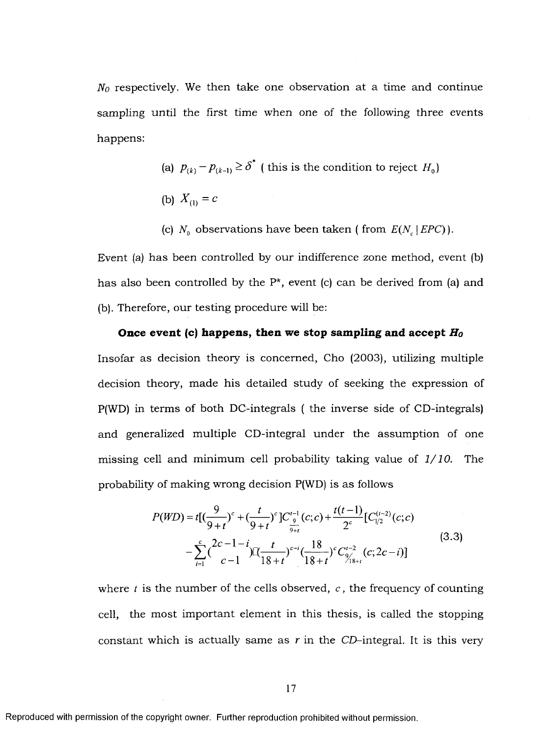$N<sub>0</sub>$  respectively. We then take one observation at a time and continue sampling until the first time when one of the following three events happens:

(a) 
$$
p_{(k)} - p_{(k-1)} \ge \delta^*
$$
 (this is the condition to reject  $H_0$ )

- (b)  $X_{(1)} = c$
- (c)  $N_q$  observations have been taken ( from  $E(N_c | EPC)$ ).

Event (a) has been controlled by our indifference zone method, event (b) has also been controlled by the  $P^*$ , event (c) can be derived from (a) and (b). Therefore, our testing procedure will be:

## **Once event (c) happens, then we stop sampling and accept**  $H_0$ Insofar as decision theory is concerned, Cho (2003), utilizing multiple decision theory, made his detailed study of seeking the expression of  $P(WD)$  in terms of both DC-integrals (the inverse side of CD-integrals) and generalized multiple CD-integral under the assumption of one missing cell and minimum cell probability taking value of 1/10. The

probability of making wrong decision  $P(WD)$  is as follows  $P(WD) = t[(\frac{9}{9+t})^c + (\frac{t}{9+t})^c]C_{\frac{9}{9+t}}^{t-1}(c;c) + \frac{t(t-1)}{2^c}[C_{1/2}^{(t-2)}(c;c)]$  $(3.3)$  $-\sum_{i=1}^{c} {\binom{2c-1-i}{c-1}} \prod_{\substack{18+t}} \frac{t}{(18+t)} e^{-i} \left(\frac{18}{18+t}\right)^{c} C_{\frac{9}{18+t}}^{t-2} (c; 2c-i)$ 

where  $t$  is the number of the cells observed,  $c$ , the frequency of counting cell, the most important element in this thesis, is called the stopping constant which is actually same as r in the CD-integral. It is this very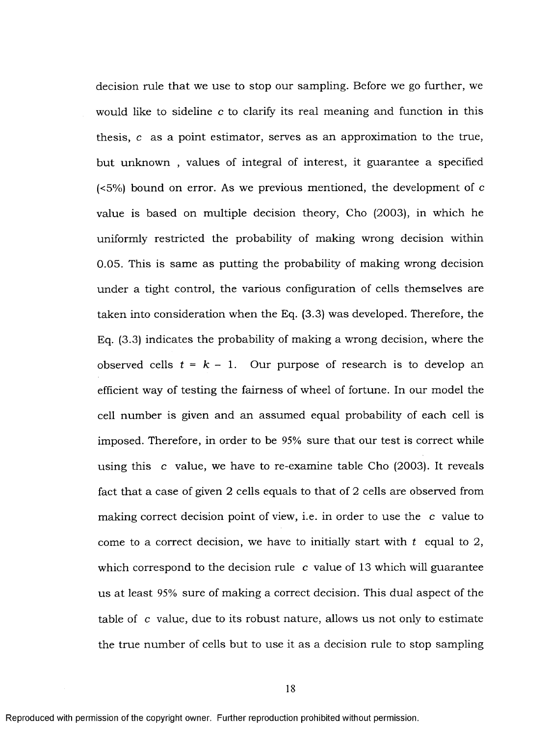decision rule that we use to stop our sampling. Before we go further, we would like to sideline c to clarify its real meaning and function in this thesis,  $c$  as a point estimator, serves as an approximation to the true, but unknown, values of integral of interest, it guarantee a specified  $(5%)$  bound on error. As we previous mentioned, the development of c value is based on multiple decision theory, Cho (2003), in which he uniformly restricted the probability of making wrong decision within 0.05. This is same as putting the probability of making wrong decision under a tight control, the various configuration of cells themselves are taken into consideration when the Eq. (3.3) was developed. Therefore, the Eq.  $(3.3)$  indicates the probability of making a wrong decision, where the observed cells  $t = k - 1$ . Our purpose of research is to develop an efficient way of testing the fairness of wheel of fortune. In our model the cell num ber is given and an assum ed equal probability of each cell is imposed. Therefore, in order to be 95% sure that our test is correct while using this c value, we have to re-examine table Cho  $(2003)$ . It reveals fact that a case of given 2 cells equals to that of  $2$  cells are observed from making correct decision point of view, i.e. in order to use the c value to come to a correct decision, we have to initially start with  $t$  equal to 2, which correspond to the decision rule  $c$  value of 13 which will guarantee us at least 95% sure of making a correct decision. This dual aspect of the table of  $c$  value, due to its robust nature, allows us not only to estimate the true number of cells but to use it as a decision rule to stop sampling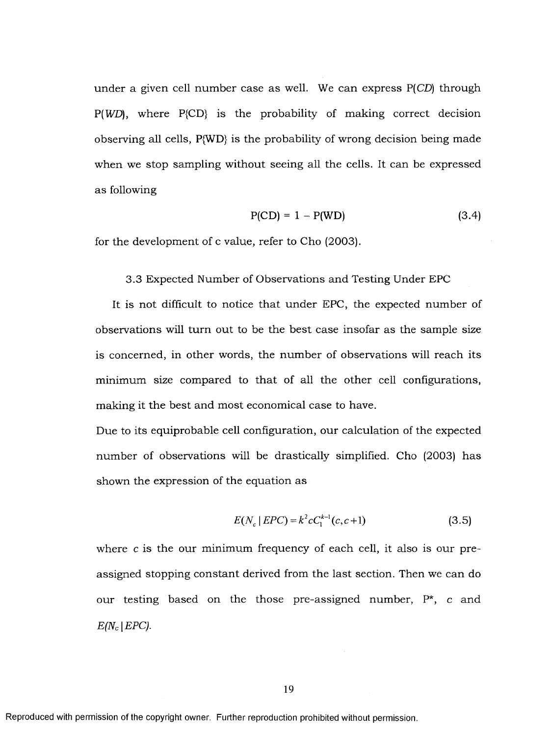under a given cell number case as well. We can express  $P(CD)$  through  $P(WD)$ , where  $P(CD)$  is the probability of making correct decision observing all cells, P{WD} is the probability of wrong decision being made when we stop sampling without seeing all the cells. It can be expressed as following

$$
P(CD) = 1 - P(WD)
$$
 (3.4)

for the development of c value, refer to Cho (2003).

3.3 Expected Number of Observations and Testing Under EPC

It is not difficult to notice that under EPC, the expected number of observations will turn out to be the best case insofar as the sample size is concerned, in other words, the number of observations will reach its minimum size compared to that of all the other cell configurations, making it the best and most economical case to have.

Due to its equiprobable cell configuration, our calculation of the expected num ber of observations will be drastically simplified. Cho (2003) has shown the expression of the equation as

$$
E(N_c | EPC) = k^2 c C_1^{k-1} (c, c+1)
$$
\n(3.5)

where  $c$  is the our minimum frequency of each cell, it also is our preassigned stopping constant derived from the last section. Then we can do our testing based on the those pre-assigned number, P\*, c and  $E/N_c$  *EPC).*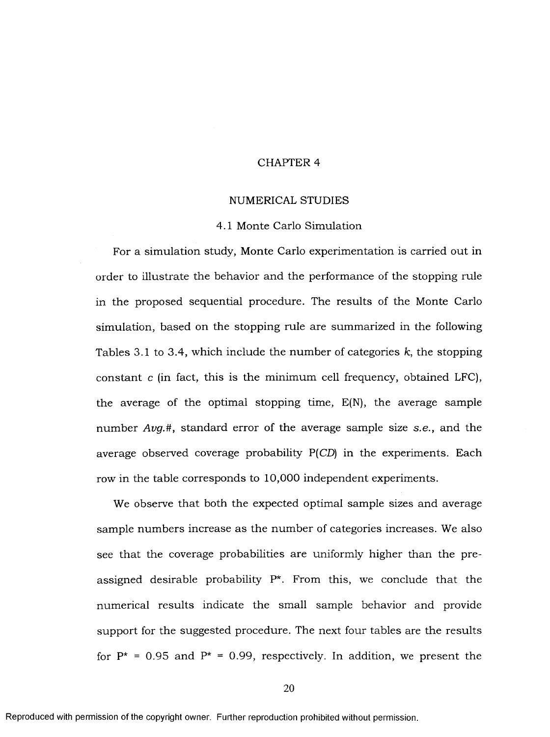#### CHAPTER 4

#### NUMERICAL STUDIES

#### 4.1 Monte Carlo Simulation

For a simulation study, Monte Carlo experimentation is carried out in order to illustrate the behavior and the performance of the stopping rule in the proposed sequential procedure. The results of the Monte Carlo simulation, based on the stopping rule are summarized in the following Tables 3.1 to 3.4, which include the number of categories k, the stopping constant  $c$  (in fact, this is the minimum cell frequency, obtained LFC), the average of the optimal stopping time,  $E(N)$ , the average sample number *Avg.*#, standard error of the average sample size *s.e.*, and the average observed coverage probability  $P(CD)$  in the experiments. Each row in the table corresponds to 10,000 independent experiments.

We observe that both the expected optimal sample sizes and average sample numbers increase as the number of categories increases. We also see that the coverage probabilities are uniformly higher than the preassigned desirable probability  $P^*$ . From this, we conclude that the num erical results indicate the small sample behavior and provide support for the suggested procedure. The next four tables are the results for  $P^* = 0.95$  and  $P^* = 0.99$ , respectively. In addition, we present the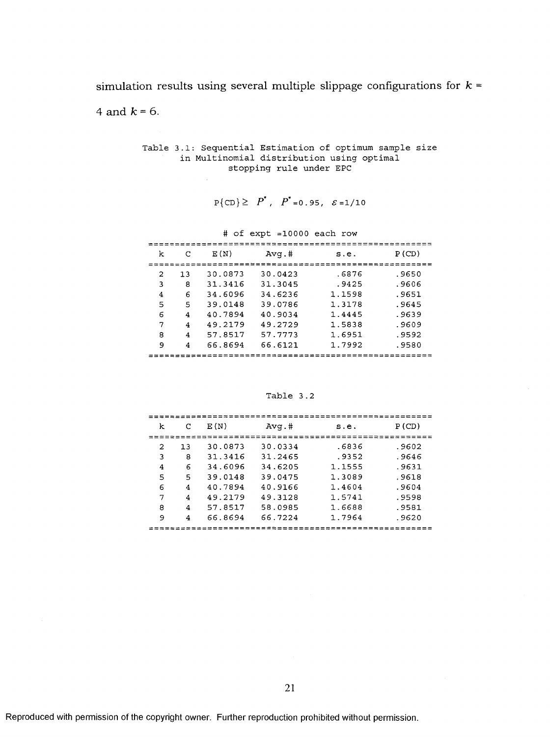simulation results using several multiple slippage configurations for  $k =$ 

4 and  $k = 6$ .

Table 3.1: Sequential Estimation of optimum sample size in Multinomial distribution using optimal stopping rule under EPC

 $\mathcal{A}^{\mathcal{A}}$ 

$$
P\{CD\} \ge P^*
$$
,  $P^*$  = 0.95,  $\varepsilon$  = 1/10

|   |     |         | $\#$ of expt =10000 each row |        |       |
|---|-----|---------|------------------------------|--------|-------|
| k | C   | E(N)    | $Avq.$ #                     | s.e.   | P(CD) |
| 2 | 1.3 | 30.0873 | 30.0423                      | .6876  | .9650 |
| 3 | 8   | 31 3416 | 31.3045                      | .9425  | .9606 |
| 4 | 6   | 34.6096 | 34.6236                      | 1.1598 | .9651 |
| 5 | 5   | 39.0148 | 39.0786                      | 1.3178 | .9645 |
| 6 | 4   | 40.7894 | 40.9034                      | 1.4445 | .9639 |
| 7 | 4   | 49.2179 | 49.2729                      | 1.5838 | .9609 |
| 8 | 4   | 57.8517 | 57.7773                      | 1.6951 | .9592 |
| 9 | 4   | 66.8694 | 66.6121                      | 1.7992 | .9580 |
|   |     |         |                              |        |       |

Table 3.2

| k |    | E(N)    | $Avq.$ # | s.e.   | P(CD) |
|---|----|---------|----------|--------|-------|
| 2 | 13 | 30.0873 | 30.0334  | . 6836 | .9602 |
| 3 | 8  | 31.3416 | 31.2465  | .9352  | .9646 |
| 4 | 6  | 34.6096 | 34.6205  | 1.1555 | .9631 |
| 5 | 5  | 39.0148 | 39.0475  | 1.3089 | .9618 |
| 6 | 4  | 40.7894 | 40.9166  | 1.4604 | -9604 |
| 7 | 4  | 49.2179 | 49.3128  | 1.5741 | .9598 |
| 8 | 4  | 57.8517 | 58.0985  | 1.6688 | .9581 |
| 9 | 4  | 66.8694 | 66.7224  | 1.7964 | .9620 |
|   |    |         |          |        |       |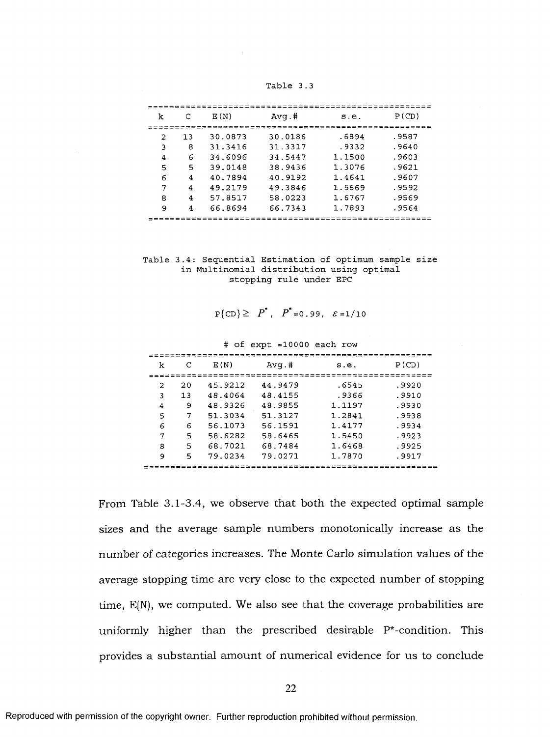**Table 3.3**

| k | C  | E(N)    | $Avg.*$ | s.e.   | P(CD) |
|---|----|---------|---------|--------|-------|
|   |    |         |         |        |       |
| 2 | 13 | 30.0873 | 30.0186 | .6894  | .9587 |
| 3 | 8  | 31.3416 | 31.3317 | .9332  | .9640 |
| 4 | 6  | 34.6096 | 34.5447 | 1.1500 | .9603 |
| 5 | 5  | 39.0148 | 38.9436 | 1.3076 | .9621 |
| 6 | 4  | 40.7894 | 40.9192 | 1.4641 | .9607 |
| 7 | 4  | 49.2179 | 49.3846 | 1.5669 | .9592 |
| 8 | 4  | 57.8517 | 58.0223 | 1.6767 | .9569 |
| 9 | 4  | 66.8694 | 66.7343 | 1.7893 | .9564 |
|   |    |         |         |        |       |

Table 3.4: Sequential Estimation of optimum sample size in Multinomial distribution using optimal stopping rule under EPC

 $P\{ CD \} \geq P^*$ ,  $P^* = 0.99$ ,  $\mathcal{E} = 1/10$ 

 $#$  of  $exp t = 10000$  each row

| k | C  | E(N)    | $Avq.$ # | s.e.   | P(CD) |
|---|----|---------|----------|--------|-------|
|   |    |         |          |        |       |
| 2 | 20 | 45.9212 | 44.9479  | .6545  | .9920 |
| 3 | 13 | 48.4064 | 48.4155  | . 9366 | .9910 |
| 4 | 9  | 48.9326 | 48.9855  | 1.1197 | .9930 |
| 5 | 7  | 51.3034 | 51.3127  | 1.2841 | .9938 |
| 6 | 6  | 56.1073 | 56.1591  | 1.4177 | .9934 |
| 7 | 5  | 58.6282 | 58.6465  | 1.5450 | .9923 |
| 8 | 5  | 68.7021 | 68.7484  | 1.6468 | .9925 |
| 9 | 5  | 79.0234 | 79.0271  | 1.7870 | .9917 |
|   |    |         |          |        |       |

From Table 3.1-3.4, we observe that both the expected optimal sample sizes and the average sample numbers monotonically increase as the number of categories increases. The Monte Carlo simulation values of the average stopping time are very close to the expected number of stopping time,  $E(N)$ , we computed. We also see that the coverage probabilities are uniformly higher than the prescribed desirable  $P^*$ -condition. This provides a substantial amount of numerical evidence for us to conclude

**22**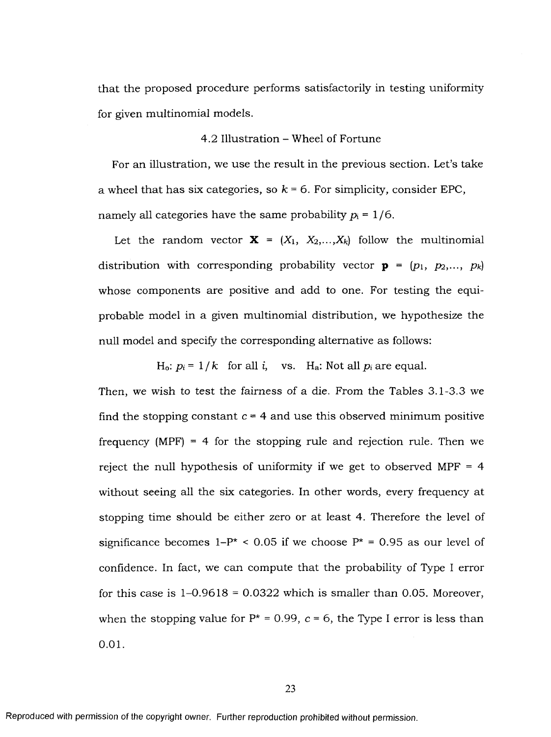that the proposed procedure performs satisfactorily in testing uniformity for given multinomial models.

#### 4.2 Illustration - Wheel of Fortune

For an illustration, we use the result in the previous section. Let's take a wheel that has six categories, so  $k = 6$ . For simplicity, consider EPC, namely all categories have the same probability  $p_i = 1/6$ .

Let the random vector  $X = (X_1, X_2,...,X_k)$  follow the multinomial distribution with corresponding probability vector  $\mathbf{p} = (p_1, p_2, ..., p_k)$ whose components are positive and add to one. For testing the equiprobable model in a given multinomial distribution, we hypothesize the null model and specify the corresponding alternative as follows:

H<sub>o</sub>:  $p_i = 1/k$  for all i, vs. H<sub>a</sub>: Not all  $p_i$  are equal.

Then, we wish to test the fairness of a die. From the Tables 3.1-3.3 we find the stopping constant  $c = 4$  and use this observed minimum positive frequency (MPF) = 4 for the stopping rule and rejection rule. Then we reject the null hypothesis of uniformity if we get to observed MPF  $=$  4 without seeing all the six categories. In other words, every frequency at stopping time should be either zero or at least 4. Therefore the level of significance becomes  $1-P^*$  < 0.05 if we choose  $P^*$  = 0.95 as our level of confidence. In fact, we can compute that the probability of Type I error for this case is  $1-0.9618 = 0.0322$  which is smaller than 0.05. Moreover, when the stopping value for  $P^* = 0.99$ ,  $c = 6$ , the Type I error is less than 0**.**01**.**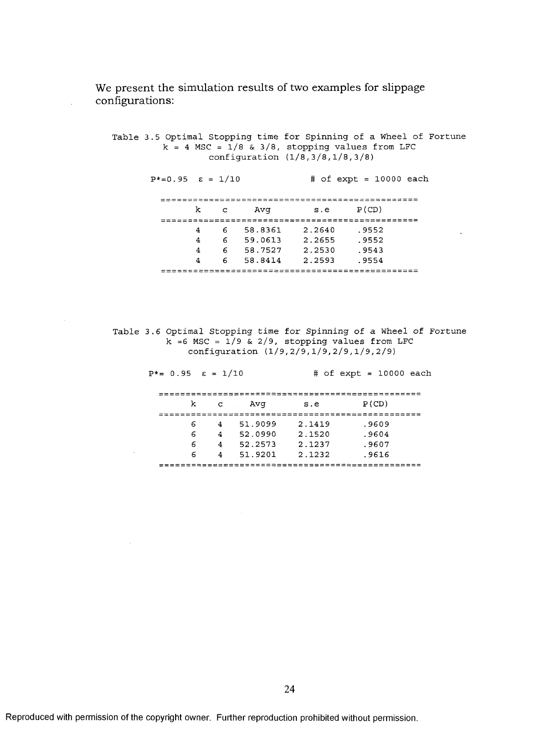We present the simulation results of two examples for slippage configurations:

Table 3.5 Optimal Stopping time for Spinning of a Wheel of Fortune  $k = 4$  MSC =  $1/8$  &  $3/8$ , stopping values from LFC configuration  $(1/8, 3/8, 1/8, 3/8)$ 

 $P^*=0.95$   $\epsilon = 1/10$  # of expt = 10000 each

k c Avg s.e P (CD) 4 6 58.8351 *2*.2540 .955. 4 6 59.0613 *2.2*655 .955, 4 6 58.7527 2.2530 **.**954. ب-155 . 4 58.8414 2.2593 . 

Table 3.6 Optimal Stopping time for Spinning of a Wheel of Fortune  $k = 6$  MSC =  $1/9$  &  $2/9$ , stopping values from LFC configuration (1/9,2/9,1/9,2/9,1/9,2/9)

| $P^* = 0.95$ $\varepsilon = 1/10$ |        |        |                    |                  |  | $\#$ of expt = 10000 each |  |
|-----------------------------------|--------|--------|--------------------|------------------|--|---------------------------|--|
|                                   | k      | C      | Avq                | s.e              |  | P(CD)                     |  |
|                                   | 6      | 4      | 51.9099            | 2.1419           |  | .9609                     |  |
|                                   | 6<br>6 | 4<br>4 | 52.0990<br>52.2573 | 2.1520<br>2.1237 |  | .9604<br>.9607            |  |
|                                   | 6      | 4      | 51.9201            | 2.1232           |  | .9616                     |  |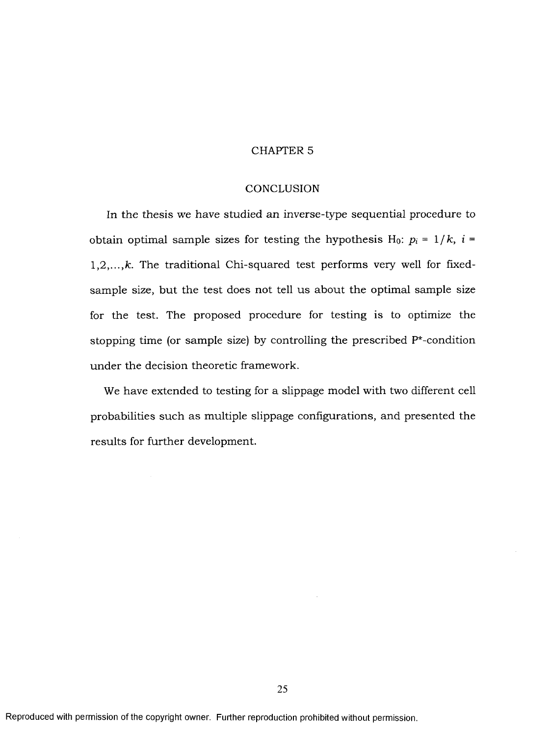#### CHAPTER 5

#### **CONCLUSION**

In the thesis we have studied an inverse-type sequential procedure to obtain optimal sample sizes for testing the hypothesis H<sub>0</sub>:  $p_i = 1/k$ ,  $i =$ 1,2,...,k. The traditional Chi-squared test performs very well for fixedsample size, but the test does not tell us about the optimal sample size for the test. The proposed procedure for testing is to optimize the stopping time (or sample size) by controlling the prescribed  $P^*$ -condition under the decision theoretic framework.

We have extended to testing for a slippage model with two different cell probabilities such as multiple slippage configurations, and presented the results for further development.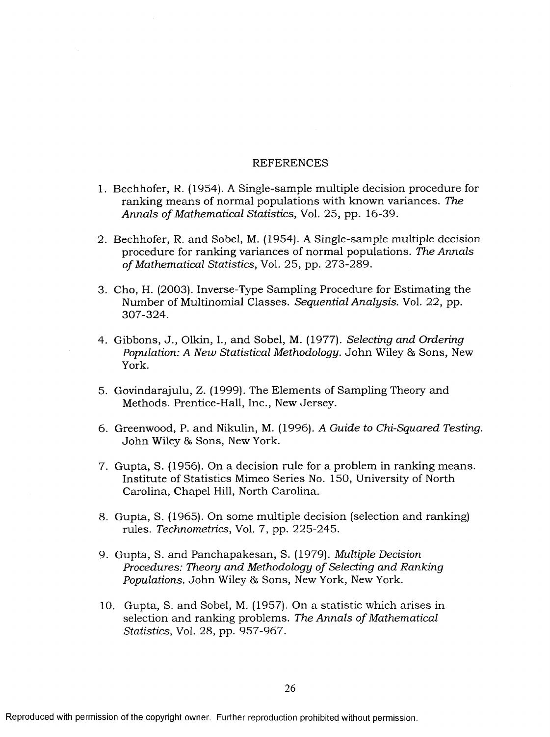#### **REFERENCES**

- 1. Bechhofer, R. (1954). A Single-sample multiple decision procedure for ranking means of normal populations with known variances. The *Annals of Mathematical Statistics, Vol. 25, pp. 16-39.*
- 2. Bechhofer, R. and Sobel, M. (1954). A Single-sample multiple decision procedure for ranking variances of normal populations. The Annals *of Mathematical Statistics, Vol. 25, pp. 273-289.*
- 3. Cho, H. (2003). Inverse-Type Sampling Procedure for Estimating the Number of Multinomial Classes. *Sequential Analysis*. Vol. 22, pp. 307-324.
- 4. Gibbons, J., Olkin, I., and Sobel, M. (1977). *Selecting and Ordering Population: A New Statistical Methodology. John Wiley & Sons, New* York.
- 5. Govindarajulu, Z. (1999). The Elements of Sampling Theory and Methods. Prentice-Hall, Inc., New Jersey.
- 6. Greenwood, P. and Nikulin, M. (1996). *A Guide to Chi-Squared Testing.* John Wiley & Sons, New York.
- 7. Gupta, S. (1956). On a decision rule for a problem in ranking means. Institute of Statistics Mimeo Series No. 150, University of North Carolina, Chapel Hill, North Carolina.
- 8. Gupta, S. (1965). On some multiple decision (selection and ranking) rules. *Technometrics,* Vol. 7, pp. 225-245.
- 9. Gupta, S. and Panchapakesan, S. (1979). *Multiple Decision Procedures: Theory and Methodology of Selecting and Ranking* Populations. John Wiley & Sons, New York, New York.
- 10. Gupta, S. and Sobel, M. (1957). On a statistic which arises in selection and ranking problems. The Annals of Mathematical *Statistics,* Vol. 28, pp. 957-967.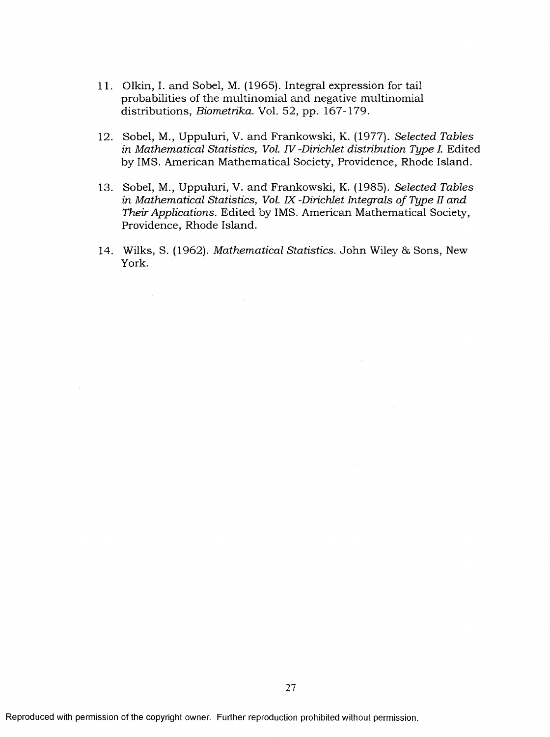- 11. Olkin, I. and Sobel, M. (1965). Integral expression for tail probabilities of the multinomial and negative multinomial distributions, *Biometrika.* Vol. 52, pp. 167-179.
- 12. Sobel, M., U ppuluri, V. an d Frankow ski, K. (1977). *Selected Tables in M athematical Statistics, Vol. IV -Dirichlet distribution Type I.* Edited by IMS. American Mathematical Society, Providence, Rhode Island.
- 13. Sobel, M., Uppuluri, V. and Frankowski, K. (1985). *Selected Tables in Mathematical Statistics, Vol. IX -Dirichlet Integrals of Type II and Their Applications.* Edited by IMS. American Mathematical Society, Providence, Rhode Island.
- 14. Wilks, S. (1962). *Mathematical Statistics*. John Wiley & Sons, New York.